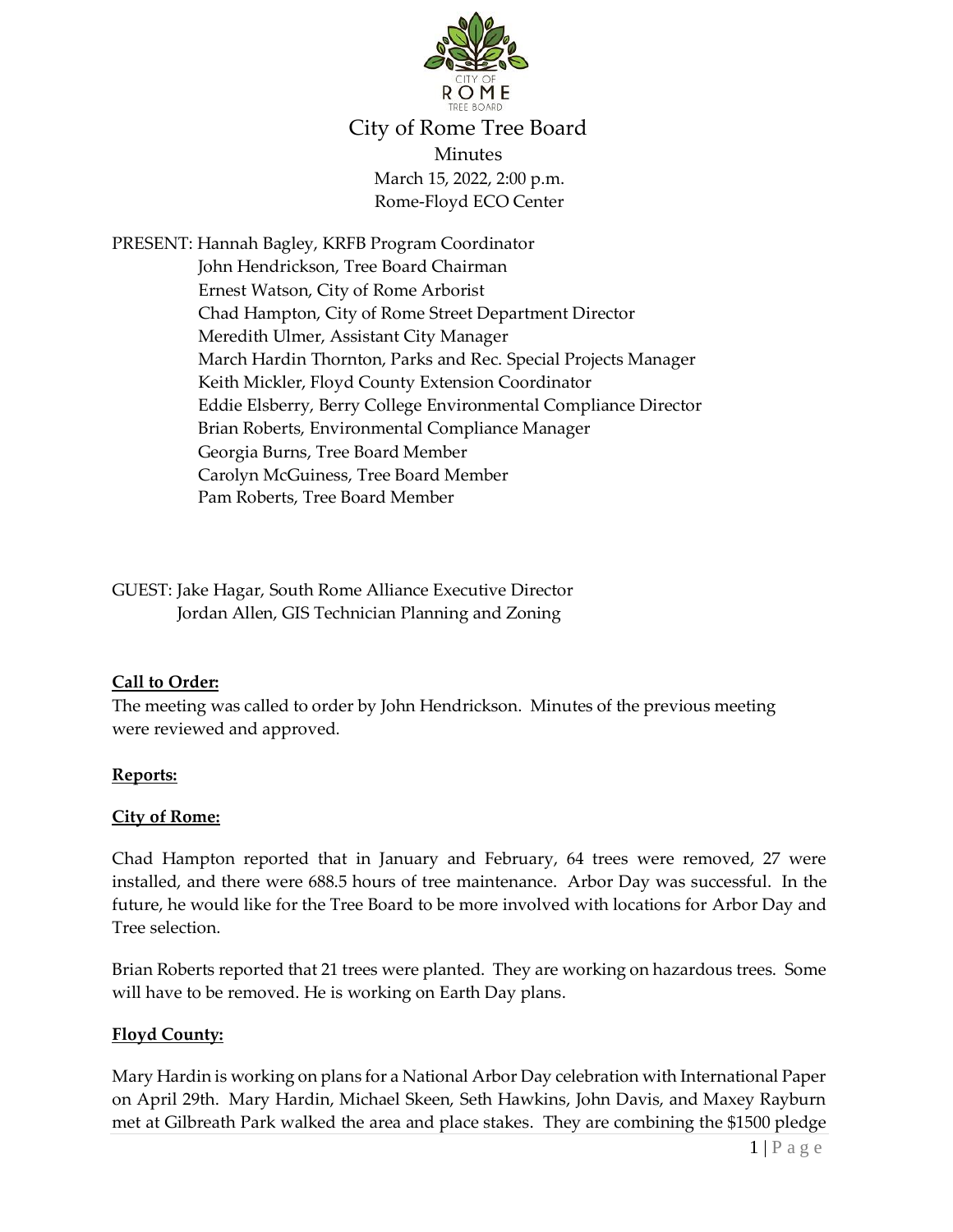

# City of Rome Tree Board Minutes March 15, 2022, 2:00 p.m. Rome-Floyd ECO Center

PRESENT: Hannah Bagley, KRFB Program Coordinator John Hendrickson, Tree Board Chairman Ernest Watson, City of Rome Arborist Chad Hampton, City of Rome Street Department Director Meredith Ulmer, Assistant City Manager March Hardin Thornton, Parks and Rec. Special Projects Manager Keith Mickler, Floyd County Extension Coordinator Eddie Elsberry, Berry College Environmental Compliance Director Brian Roberts, Environmental Compliance Manager Georgia Burns, Tree Board Member Carolyn McGuiness, Tree Board Member Pam Roberts, Tree Board Member

GUEST: Jake Hagar, South Rome Alliance Executive Director Jordan Allen, GIS Technician Planning and Zoning

### **Call to Order:**

The meeting was called to order by John Hendrickson. Minutes of the previous meeting were reviewed and approved.

#### **Reports:**

#### **City of Rome:**

Chad Hampton reported that in January and February, 64 trees were removed, 27 were installed, and there were 688.5 hours of tree maintenance. Arbor Day was successful. In the future, he would like for the Tree Board to be more involved with locations for Arbor Day and Tree selection.

Brian Roberts reported that 21 trees were planted. They are working on hazardous trees. Some will have to be removed. He is working on Earth Day plans.

### **Floyd County:**

Mary Hardin is working on plans for a National Arbor Day celebration with International Paper on April 29th. Mary Hardin, Michael Skeen, Seth Hawkins, John Davis, and Maxey Rayburn met at Gilbreath Park walked the area and place stakes. They are combining the \$1500 pledge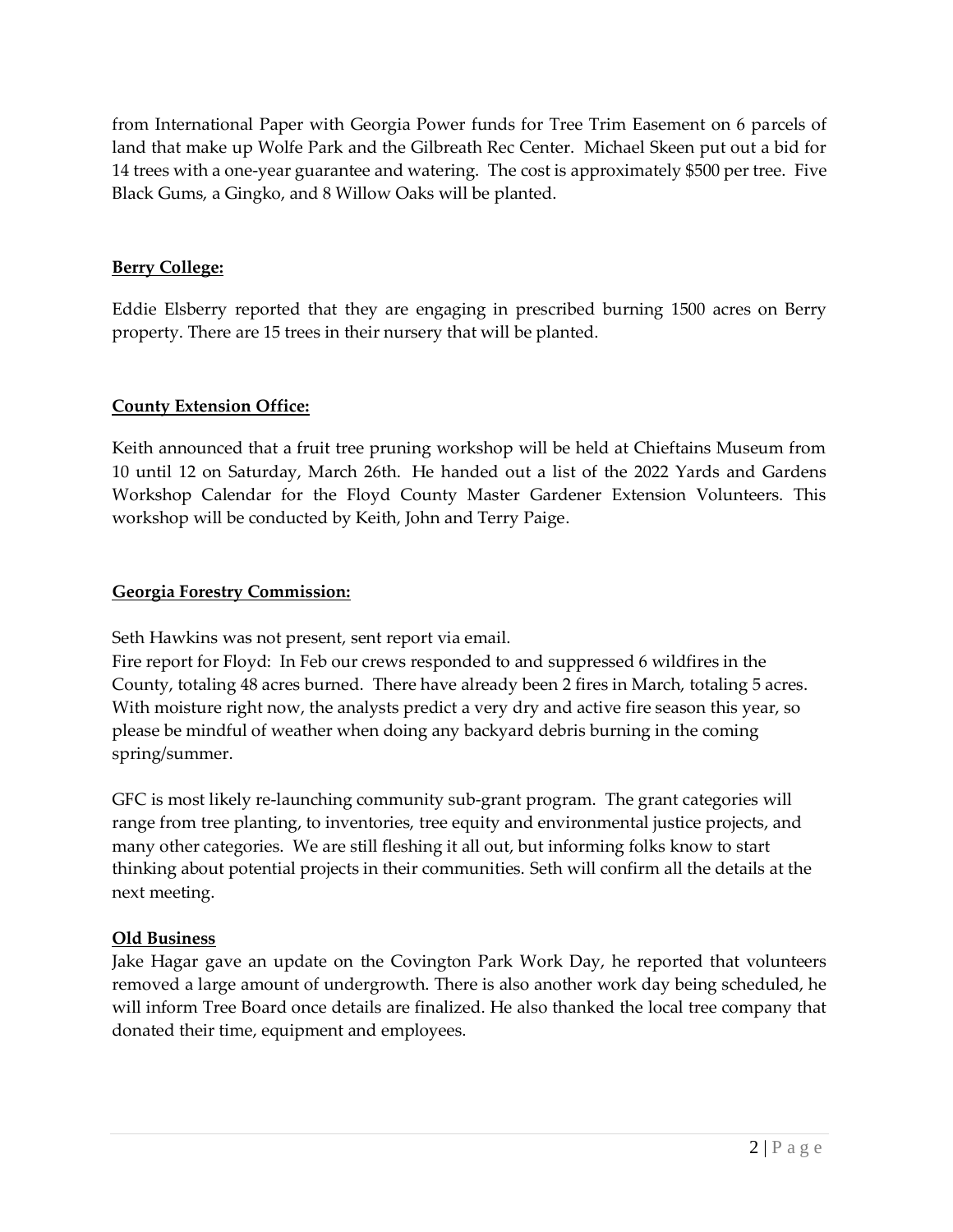from International Paper with Georgia Power funds for Tree Trim Easement on 6 parcels of land that make up Wolfe Park and the Gilbreath Rec Center. Michael Skeen put out a bid for 14 trees with a one-year guarantee and watering. The cost is approximately \$500 per tree. Five Black Gums, a Gingko, and 8 Willow Oaks will be planted.

#### **Berry College:**

Eddie Elsberry reported that they are engaging in prescribed burning 1500 acres on Berry property. There are 15 trees in their nursery that will be planted.

### **County Extension Office:**

Keith announced that a fruit tree pruning workshop will be held at Chieftains Museum from 10 until 12 on Saturday, March 26th. He handed out a list of the 2022 Yards and Gardens Workshop Calendar for the Floyd County Master Gardener Extension Volunteers. This workshop will be conducted by Keith, John and Terry Paige.

### **Georgia Forestry Commission:**

Seth Hawkins was not present, sent report via email.

Fire report for Floyd: In Feb our crews responded to and suppressed 6 wildfires in the County, totaling 48 acres burned. There have already been 2 fires in March, totaling 5 acres. With moisture right now, the analysts predict a very dry and active fire season this year, so please be mindful of weather when doing any backyard debris burning in the coming spring/summer.

GFC is most likely re-launching community sub-grant program. The grant categories will range from tree planting, to inventories, tree equity and environmental justice projects, and many other categories. We are still fleshing it all out, but informing folks know to start thinking about potential projects in their communities. Seth will confirm all the details at the next meeting.

### **Old Business**

Jake Hagar gave an update on the Covington Park Work Day, he reported that volunteers removed a large amount of undergrowth. There is also another work day being scheduled, he will inform Tree Board once details are finalized. He also thanked the local tree company that donated their time, equipment and employees.